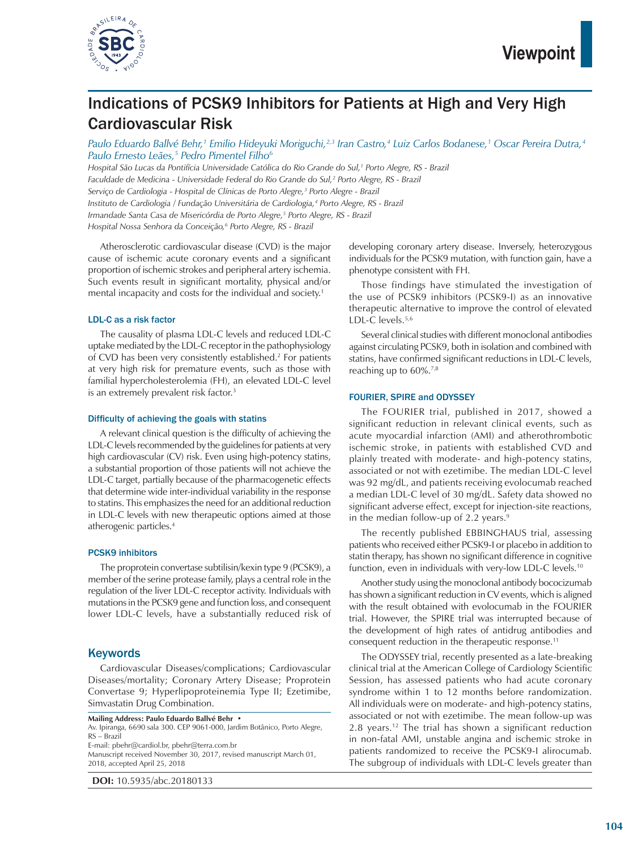

# Indications of PCSK9 Inhibitors for Patients at High and Very High Cardiovascular Risk

*Paulo Eduardo Ballvé Behr,1 Emilio Hideyuki Moriguchi,2,3 Iran Castro,4 Luiz Carlos Bodanese,1 Oscar Pereira Dutra,4 Paulo Ernesto Leães,5 Pedro Pimentel Filho6*

*Hospital São Lucas da Pontifícia Universidade Católica do Rio Grande do Sul,1 Porto Alegre, RS - Brazil Faculdade de Medicina - Universidade Federal do Rio Grande do Sul,2 Porto Alegre, RS - Brazil Serviço de Cardiologia - Hospital de Clínicas de Porto Alegre,3 Porto Alegre - Brazil Instituto de Cardiologia / Fundação Universitária de Cardiologia,4 Porto Alegre, RS - Brazil* Irmandade Santa Casa de Misericórdia de Porto Alegre,<sup>5</sup> Porto Alegre, RS - Brazil *Hospital Nossa Senhora da Conceição,6 Porto Alegre, RS - Brazil*

Atherosclerotic cardiovascular disease (CVD) is the major cause of ischemic acute coronary events and a significant proportion of ischemic strokes and peripheral artery ischemia. Such events result in significant mortality, physical and/or mental incapacity and costs for the individual and society.1

#### LDL-C as a risk factor

The causality of plasma LDL-C levels and reduced LDL-C uptake mediated by the LDL-C receptor in the pathophysiology of CVD has been very consistently established.2 For patients at very high risk for premature events, such as those with familial hypercholesterolemia (FH), an elevated LDL-C level is an extremely prevalent risk factor.<sup>3</sup>

#### Difficulty of achieving the goals with statins

A relevant clinical question is the difficulty of achieving the LDL-C levels recommended by the guidelines for patients at very high cardiovascular (CV) risk. Even using high-potency statins, a substantial proportion of those patients will not achieve the LDL-C target, partially because of the pharmacogenetic effects that determine wide inter-individual variability in the response to statins. This emphasizes the need for an additional reduction in LDL-C levels with new therapeutic options aimed at those atherogenic particles.4

#### PCSK9 inhibitors

The proprotein convertase subtilisin/kexin type 9 (PCSK9), a member of the serine protease family, plays a central role in the regulation of the liver LDL-C receptor activity. Individuals with mutations in the PCSK9 gene and function loss, and consequent lower LDL-C levels, have a substantially reduced risk of

### Keywords

Cardiovascular Diseases/complications; Cardiovascular Diseases/mortality; Coronary Artery Disease; Proprotein Convertase 9; Hyperlipoproteinemia Type II; Ezetimibe, Simvastatin Drug Combination.

**Mailing Address: Paulo Eduardo Ballvé Behr •** Av. Ipiranga, 6690 sala 300. CEP 9061-000, Jardim Botânico, Porto Alegre, RS – Brazil E-mail: pbehr@cardiol.br, pbehr@terra.com.br Manuscript received November 30, 2017, revised manuscript March 01, 2018, accepted April 25, 2018

**DOI:** 10.5935/abc.20180133

developing coronary artery disease. Inversely, heterozygous individuals for the PCSK9 mutation, with function gain, have a phenotype consistent with FH.

Those findings have stimulated the investigation of the use of PCSK9 inhibitors (PCSK9-I) as an innovative therapeutic alternative to improve the control of elevated LDL-C levels.<sup>5,6</sup>

Several clinical studies with different monoclonal antibodies against circulating PCSK9, both in isolation and combined with statins, have confirmed significant reductions in LDL-C levels, reaching up to 60%.7,8

### FOURIER, SPIRE and ODYSSEY

The FOURIER trial, published in 2017, showed a significant reduction in relevant clinical events, such as acute myocardial infarction (AMI) and atherothrombotic ischemic stroke, in patients with established CVD and plainly treated with moderate- and high-potency statins, associated or not with ezetimibe. The median LDL-C level was 92 mg/dL, and patients receiving evolocumab reached a median LDL-C level of 30 mg/dL. Safety data showed no significant adverse effect, except for injection-site reactions, in the median follow-up of 2.2 years. $9$ 

The recently published EBBINGHAUS trial, assessing patients who received either PCSK9-I or placebo in addition to statin therapy, has shown no significant difference in cognitive function, even in individuals with very-low LDL-C levels.10

Another study using the monoclonal antibody bococizumab has shown a significant reduction in CV events, which is aligned with the result obtained with evolocumab in the FOURIER trial. However, the SPIRE trial was interrupted because of the development of high rates of antidrug antibodies and consequent reduction in the therapeutic response.11

The ODYSSEY trial, recently presented as a late-breaking clinical trial at the American College of Cardiology Scientific Session, has assessed patients who had acute coronary syndrome within 1 to 12 months before randomization. All individuals were on moderate- and high-potency statins, associated or not with ezetimibe. The mean follow-up was 2.8 years.12 The trial has shown a significant reduction in non-fatal AMI, unstable angina and ischemic stroke in patients randomized to receive the PCSK9-I alirocumab. The subgroup of individuals with LDL-C levels greater than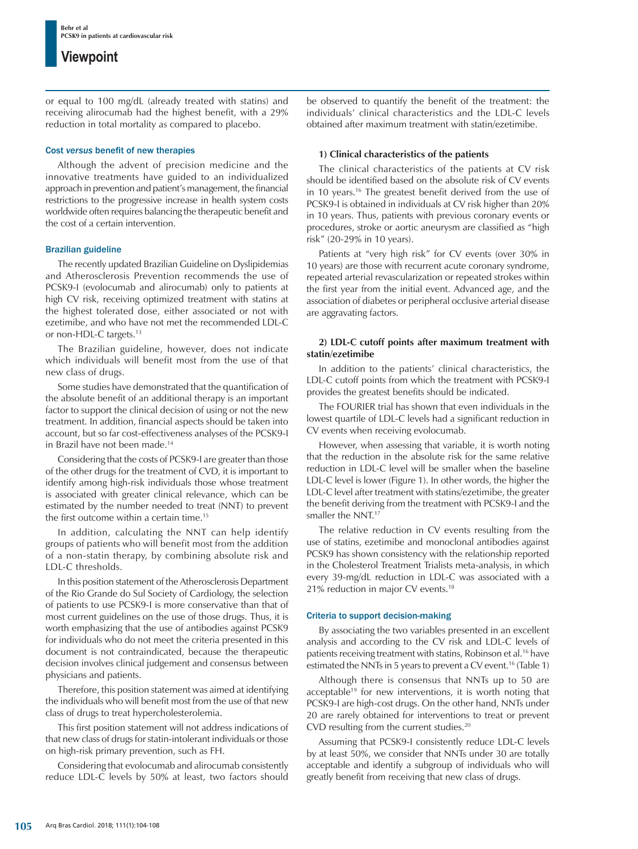or equal to 100 mg/dL (already treated with statins) and receiving alirocumab had the highest benefit, with a 29% reduction in total mortality as compared to placebo.

### Cost *versus* benefit of new therapies

Although the advent of precision medicine and the innovative treatments have guided to an individualized approach in prevention and patient's management, the financial restrictions to the progressive increase in health system costs worldwide often requires balancing the therapeutic benefit and the cost of a certain intervention.

## Brazilian guideline

The recently updated Brazilian Guideline on Dyslipidemias and Atherosclerosis Prevention recommends the use of PCSK9-I (evolocumab and alirocumab) only to patients at high CV risk, receiving optimized treatment with statins at the highest tolerated dose, either associated or not with ezetimibe, and who have not met the recommended LDL-C or non-HDL-C targets.13

The Brazilian guideline, however, does not indicate which individuals will benefit most from the use of that new class of drugs.

Some studies have demonstrated that the quantification of the absolute benefit of an additional therapy is an important factor to support the clinical decision of using or not the new treatment. In addition, financial aspects should be taken into account, but so far cost-effectiveness analyses of the PCSK9-I in Brazil have not been made.14

Considering that the costs of PCSK9-I are greater than those of the other drugs for the treatment of CVD, it is important to identify among high-risk individuals those whose treatment is associated with greater clinical relevance, which can be estimated by the number needed to treat (NNT) to prevent the first outcome within a certain time.15

In addition, calculating the NNT can help identify groups of patients who will benefit most from the addition of a non-statin therapy, by combining absolute risk and LDL-C thresholds.

In this position statement of the Atherosclerosis Department of the Rio Grande do Sul Society of Cardiology, the selection of patients to use PCSK9-I is more conservative than that of most current guidelines on the use of those drugs. Thus, it is worth emphasizing that the use of antibodies against PCSK9 for individuals who do not meet the criteria presented in this document is not contraindicated, because the therapeutic decision involves clinical judgement and consensus between physicians and patients.

Therefore, this position statement was aimed at identifying the individuals who will benefit most from the use of that new class of drugs to treat hypercholesterolemia.

This first position statement will not address indications of that new class of drugs for statin-intolerant individuals or those on high-risk primary prevention, such as FH.

Considering that evolocumab and alirocumab consistently reduce LDL-C levels by 50% at least, two factors should be observed to quantify the benefit of the treatment: the individuals' clinical characteristics and the LDL-C levels obtained after maximum treatment with statin/ezetimibe.

## **1) Clinical characteristics of the patients**

The clinical characteristics of the patients at CV risk should be identified based on the absolute risk of CV events in 10 years.<sup>16</sup> The greatest benefit derived from the use of PCSK9-I is obtained in individuals at CV risk higher than 20% in 10 years. Thus, patients with previous coronary events or procedures, stroke or aortic aneurysm are classified as "high risk" (20-29% in 10 years).

Patients at "very high risk" for CV events (over 30% in 10 years) are those with recurrent acute coronary syndrome, repeated arterial revascularization or repeated strokes within the first year from the initial event. Advanced age, and the association of diabetes or peripheral occlusive arterial disease are aggravating factors.

## **2) LDL-C cutoff points after maximum treatment with statin/ezetimibe**

In addition to the patients' clinical characteristics, the LDL-C cutoff points from which the treatment with PCSK9-I provides the greatest benefits should be indicated.

The FOURIER trial has shown that even individuals in the lowest quartile of LDL-C levels had a significant reduction in CV events when receiving evolocumab.

However, when assessing that variable, it is worth noting that the reduction in the absolute risk for the same relative reduction in LDL-C level will be smaller when the baseline LDL-C level is lower (Figure 1). In other words, the higher the LDL-C level after treatment with statins/ezetimibe, the greater the benefit deriving from the treatment with PCSK9-I and the smaller the NNT.<sup>17</sup>

The relative reduction in CV events resulting from the use of statins, ezetimibe and monoclonal antibodies against PCSK9 has shown consistency with the relationship reported in the Cholesterol Treatment Trialists meta-analysis, in which every 39-mg/dL reduction in LDL-C was associated with a 21% reduction in major CV events.18

## Criteria to support decision-making

By associating the two variables presented in an excellent analysis and according to the CV risk and LDL-C levels of patients receiving treatment with statins, Robinson et al.16 have estimated the NNTs in 5 years to prevent a CV event.16 (Table 1)

Although there is consensus that NNTs up to 50 are acceptable<sup>19</sup> for new interventions, it is worth noting that PCSK9-I are high-cost drugs. On the other hand, NNTs under 20 are rarely obtained for interventions to treat or prevent CVD resulting from the current studies.<sup>20</sup>

Assuming that PCSK9-I consistently reduce LDL-C levels by at least 50%, we consider that NNTs under 30 are totally acceptable and identify a subgroup of individuals who will greatly benefit from receiving that new class of drugs.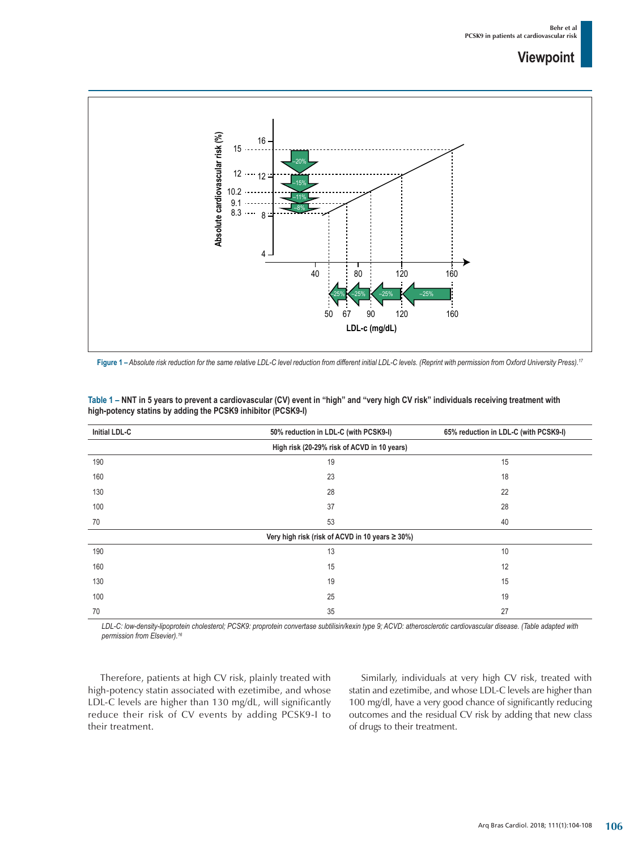## **Viewpoint**



**Figure 1 –** *Absolute risk reduction for the same relative LDL-C level reduction from different initial LDL-C levels. (Reprint with permission from Oxford University Press).17*

| <b>Initial LDL-C</b>                                   | 50% reduction in LDL-C (with PCSK9-I) | 65% reduction in LDL-C (with PCSK9-I) |
|--------------------------------------------------------|---------------------------------------|---------------------------------------|
| High risk (20-29% risk of ACVD in 10 years)            |                                       |                                       |
| 190                                                    | 19                                    | 15                                    |
| 160                                                    | 23                                    | 18                                    |
| 130                                                    | 28                                    | 22                                    |
| 100                                                    | 37                                    | 28                                    |
| 70                                                     | 53                                    | 40                                    |
| Very high risk (risk of ACVD in 10 years $\geq 30\%$ ) |                                       |                                       |
| 190                                                    | 13                                    | 10                                    |
| 160                                                    | 15                                    | 12                                    |
| 130                                                    | 19                                    | 15                                    |
| 100                                                    | 25                                    | 19                                    |
| 70                                                     | 35                                    | 27                                    |

**Table 1 – NNT in 5 years to prevent a cardiovascular (CV) event in "high" and "very high CV risk" individuals receiving treatment with high‑potency statins by adding the PCSK9 inhibitor (PCSK9-I)**

*LDL-C: low-density-lipoprotein cholesterol; PCSK9: proprotein convertase subtilisin/kexin type 9; ACVD: atherosclerotic cardiovascular disease. (Table adapted with permission from Elsevier).16*

Therefore, patients at high CV risk, plainly treated with high-potency statin associated with ezetimibe, and whose LDL-C levels are higher than 130 mg/dL, will significantly reduce their risk of CV events by adding PCSK9-I to their treatment.

Similarly, individuals at very high CV risk, treated with statin and ezetimibe, and whose LDL-C levels are higher than 100 mg/dl, have a very good chance of significantly reducing outcomes and the residual CV risk by adding that new class of drugs to their treatment.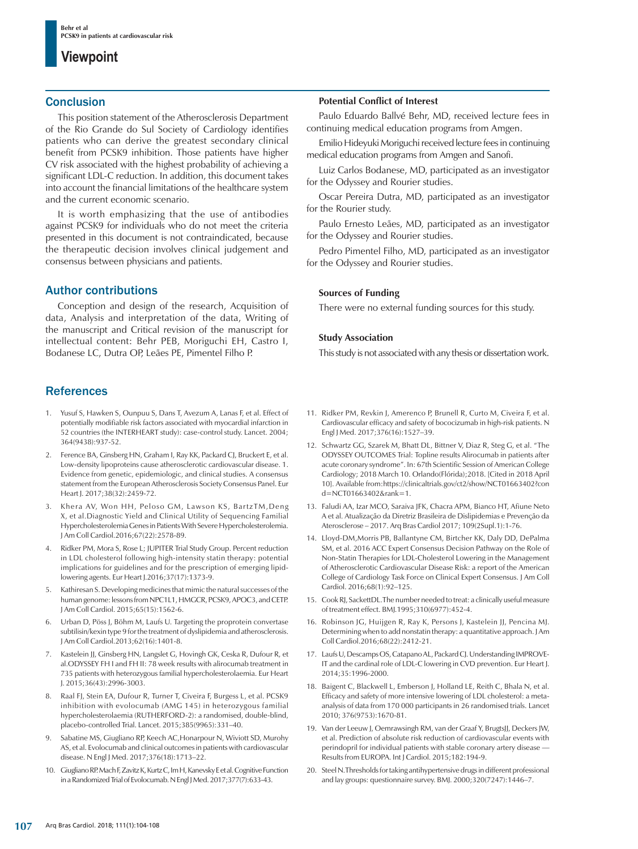## **Viewpoint**

## **Conclusion**

This position statement of the Atherosclerosis Department of the Rio Grande do Sul Society of Cardiology identifies patients who can derive the greatest secondary clinical benefit from PCSK9 inhibition. Those patients have higher CV risk associated with the highest probability of achieving a significant LDL-C reduction. In addition, this document takes into account the financial limitations of the healthcare system and the current economic scenario.

It is worth emphasizing that the use of antibodies against PCSK9 for individuals who do not meet the criteria presented in this document is not contraindicated, because the therapeutic decision involves clinical judgement and consensus between physicians and patients.

## Author contributions

Conception and design of the research, Acquisition of data, Analysis and interpretation of the data, Writing of the manuscript and Critical revision of the manuscript for intellectual content: Behr PEB, Moriguchi EH, Castro I, Bodanese LC, Dutra OP, Leães PE, Pimentel Filho P.

## **References**

- 1. Yusuf S, Hawken S, Ounpuu S, Dans T, Avezum A, Lanas F, et al. Effect of potentially modifiable risk factors associated with myocardial infarction in 52 countries (the INTERHEART study): case-control study. Lancet. 2004; 364(9438):937-52.
- 2. Ference BA, Ginsberg HN, Graham I, Ray KK, Packard CJ, Bruckert E, et al. Low-density lipoproteins cause atherosclerotic cardiovascular disease. 1. Evidence from genetic, epidemiologic, and clinical studies. A consensus statement from the European Atherosclerosis Society Consensus Panel. Eur Heart J. 2017;38(32):2459-72.
- Khera AV, Won HH, Peloso GM, Lawson KS, BartzTM,Deng X, et al.Diagnostic Yield and Clinical Utility of Sequencing Familial Hypercholesterolemia Genes in Patients With Severe Hypercholesterolemia. J Am Coll Cardiol.2016;67(22):2578-89.
- 4. Ridker PM, Mora S, Rose L; JUPITER Trial Study Group. Percent reduction in LDL cholesterol following high-intensity statin therapy: potential implications for guidelines and for the prescription of emerging lipidlowering agents. Eur Heart J.2016;37(17):1373-9.
- 5. Kathiresan S. Developing medicines that mimic the natural successes of the human genome: lessons from NPC1L1, HMGCR, PCSK9, APOC3, and CETP. J Am Coll Cardiol. 2015;65(15):1562-6.
- Urban D, Pöss J, Böhm M, Laufs U. Targeting the proprotein convertase subtilisin/kexin type 9 for the treatment of dyslipidemia and atherosclerosis. J Am Coll Cardiol.2013;62(16):1401-8.
- Kastelein JJ, Ginsberg HN, Langslet G, Hovingh GK, Ceska R, Dufour R, et al.ODYSSEY FH I and FH II: 78 week results with alirocumab treatment in 735 patients with heterozygous familial hypercholesterolaemia. Eur Heart J. 2015;36(43):2996-3003.
- Raal FJ, Stein EA, Dufour R, Turner T, Civeira F, Burgess L, et al. PCSK9 inhibition with evolocumab (AMG 145) in heterozygous familial hypercholesterolaemia (RUTHERFORD-2): a randomised, double-blind, placebo-controlled Trial. Lancet. 2015;385(9965):331–40.
- 9. Sabatine MS, Giugliano RP, Keech AC,Honarpour N, Wiviott SD, Murohy AS, et al. Evolocumab and clinical outcomes in patients with cardiovascular disease. N Engl J Med. 2017;376(18):1713–22.
- 10. Giugliano RP. Mach F, Zavitz K, Kurtz C, Im H, Kanevsky E et al. Cognitive Function in a Randomized Trial of Evolocumab. N Engl J Med. 2017;377(7):633-43.

## **Potential Conflict of Interest**

Paulo Eduardo Ballvé Behr, MD, received lecture fees in continuing medical education programs from Amgen.

Emilio Hideyuki Moriguchi received lecture fees in continuing medical education programs from Amgen and Sanofi.

Luiz Carlos Bodanese, MD, participated as an investigator for the Odyssey and Rourier studies.

Oscar Pereira Dutra, MD, participated as an investigator for the Rourier study.

Paulo Ernesto Leães, MD, participated as an investigator for the Odyssey and Rourier studies.

Pedro Pimentel Filho, MD, participated as an investigator for the Odyssey and Rourier studies.

## **Sources of Funding**

There were no external funding sources for this study.

## **Study Association**

This study is not associated with any thesis or dissertation work.

- 11. Ridker PM, Revkin J, Amerenco P, Brunell R, Curto M, Civeira F, et al. Cardiovascular efficacy and safety of bococizumab in high-risk patients. N Engl J Med. 2017;376(16):1527–39.
- 12. Schwartz GG, Szarek M, Bhatt DL, Bittner V, Diaz R, Steg G, et al. "The ODYSSEY OUTCOMES Trial: Topline results Alirocumab in patients after acute coronary syndrome". In: 67th Scientific Session of American College Cardiology; 2018 March 10. Orlando(Flórida);2018. [Cited in 2018 April 10]. Available from:https://clinicaltrials.gov/ct2/show/NCT01663402?con d=NCT01663402&rank=1.
- 13. Faludi AA, Izar MCO, Saraiva JFK, Chacra APM, Bianco HT, Afiune Neto A et al. Atualização da Diretriz Brasileira de Dislipidemias e Prevenção da Aterosclerose – 2017. Arq Bras Cardiol 2017; 109(2Supl.1):1-76.
- 14. Lloyd-DM,Morris PB, Ballantyne CM, Birtcher KK, Daly DD, DePalma SM, et al. 2016 ACC Expert Consensus Decision Pathway on the Role of Non-Statin Therapies for LDL-Cholesterol Lowering in the Management of Atherosclerotic Cardiovascular Disease Risk: a report of the American College of Cardiology Task Force on Clinical Expert Consensus. J Am Coll Cardiol. 2016;68(1):92–125.
- 15. Cook RJ, SackettDL.The number needed to treat: a clinically useful measure of treatment effect. BMJ.1995;310(6977):452-4.
- 16. Robinson JG, Huijgen R, Ray K, Persons J, Kastelein JJ, Pencina MJ. Determining when to add nonstatin therapy: a quantitative approach. J Am Coll Cardiol.2016;68(22):2412-21.
- 17. Laufs U, Descamps OS, Catapano AL, Packard CJ. Understanding IMPROVE-IT and the cardinal role of LDL-C lowering in CVD prevention. Eur Heart J. 2014;35:1996-2000.
- 18. Baigent C, Blackwell L, Emberson J, Holland LE, Reith C, Bhala N, et al. Efficacy and safety of more intensive lowering of LDL cholesterol: a metaanalysis of data from 170 000 participants in 26 randomised trials. Lancet 2010; 376(9753):1670-81.
- 19. Van der Leeuw J, Oemrawsingh RM, van der Graaf Y, BrugtsJJ, Deckers JW, et al. Prediction of absolute risk reduction of cardiovascular events with perindopril for individual patients with stable coronary artery disease — Results from EUROPA. Int J Cardiol. 2015;182:194-9.
- 20. Steel N.Thresholds for taking antihypertensive drugs in different professional and lay groups: questionnaire survey. BMJ. 2000;320(7247):1446–7.